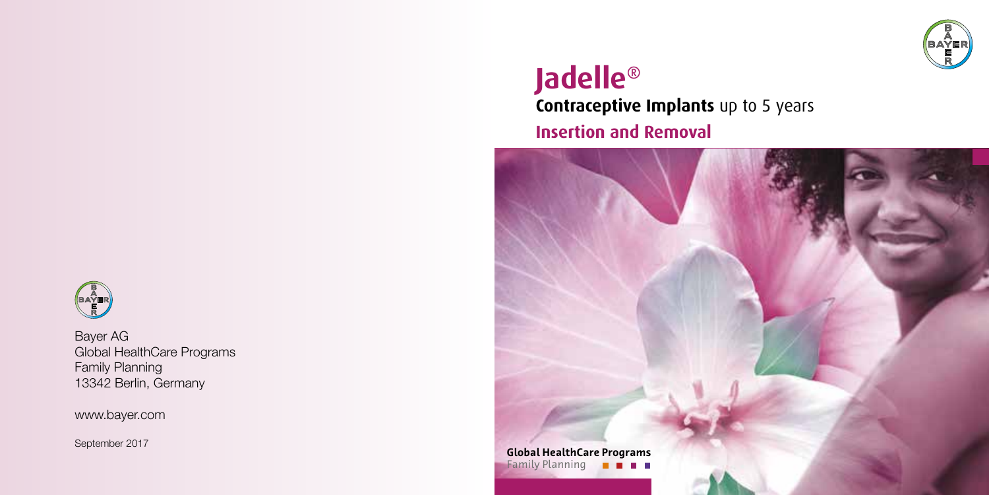

### **Jadelle® Contraceptive Implants** up to 5 years **Insertion and Removal**





Bayer AG Global HealthCare Programs Family Planning 13342 Berlin, Germany

www.bayer.com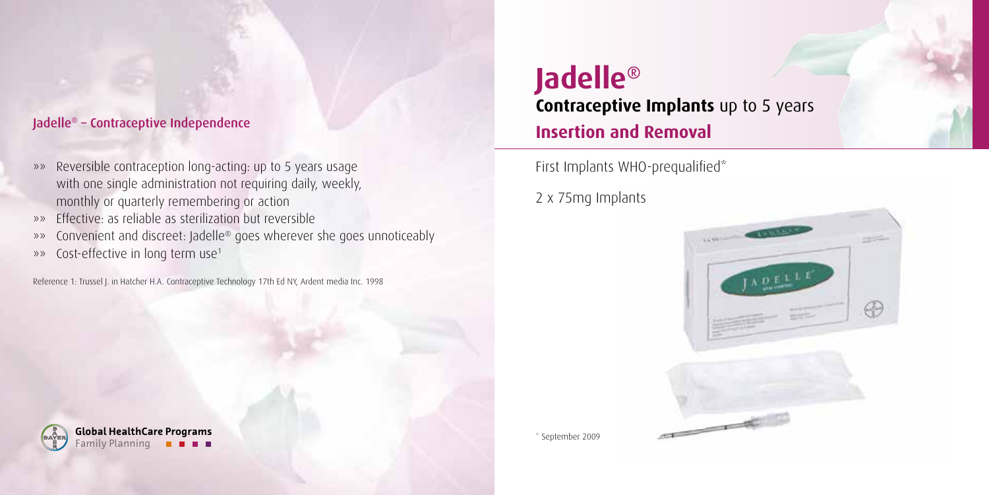#### Jadelle® - Contraceptive Independence

- »» Reversible contraception long-acting: up to 5 years usage with one single administration not requiring daily, weekly, monthly or quarterly remembering or action
- »» Effective: as reliable as sterilization but reversible
- »» Convenient and discreet: Jadelle® goes wherever she goes unnoticeably
- »» Cost-effective in long term use1

Reference 1: Trussel J. in Hatcher H.A. Contraceptive Technology 17th Ed NY, Ardent media Inc. 1998

**Jadelle® Contraceptive Implants** up to 5 years **Insertion and Removal**

First Implants WHO-prequalified\*

2 x 75mg Implants



**Global HealthCare Programs** Family Planning

\* September 2009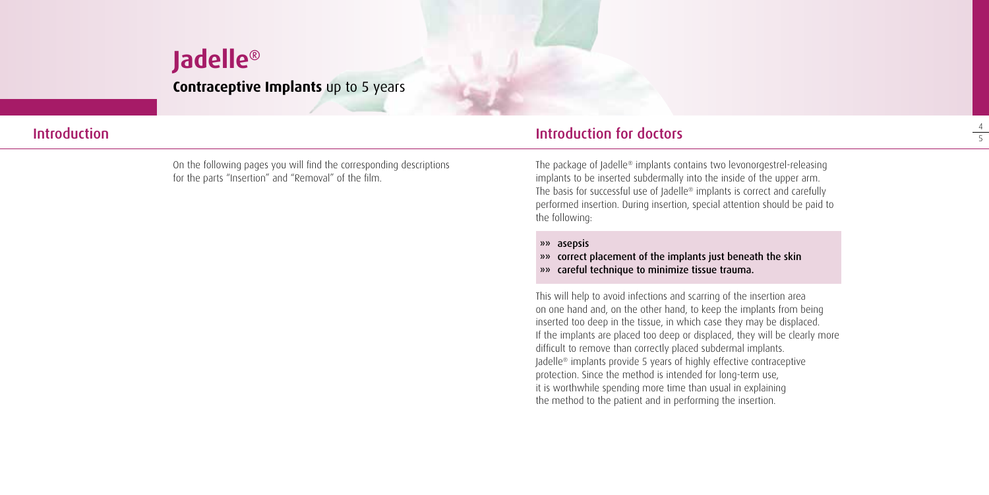### **Jadelle® Contraceptive Implants** up to 5 years

On the following pages you will find the corresponding descriptions for the parts "Insertion" and "Removal" of the film.

#### Introduction Introduction for doctors

The package of Jadelle® implants contains two levonorgestrel-releasing implants to be inserted subdermally into the inside of the upper arm. The basis for successful use of Jadelle® implants is correct and carefully performed insertion. During insertion, special attention should be paid to the following:

»» asepsis

»» correct placement of the implants just beneath the skin

»» careful technique to minimize tissue trauma.

This will help to avoid infections and scarring of the insertion area on one hand and, on the other hand, to keep the implants from being inserted too deep in the tissue, in which case they may be displaced. If the implants are placed too deep or displaced, they will be clearly more difficult to remove than correctly placed subdermal implants. Jadelle® implants provide 5 years of highly effective contraceptive protection. Since the method is intended for long-term use, it is worthwhile spending more time than usual in explaining the method to the patient and in performing the insertion.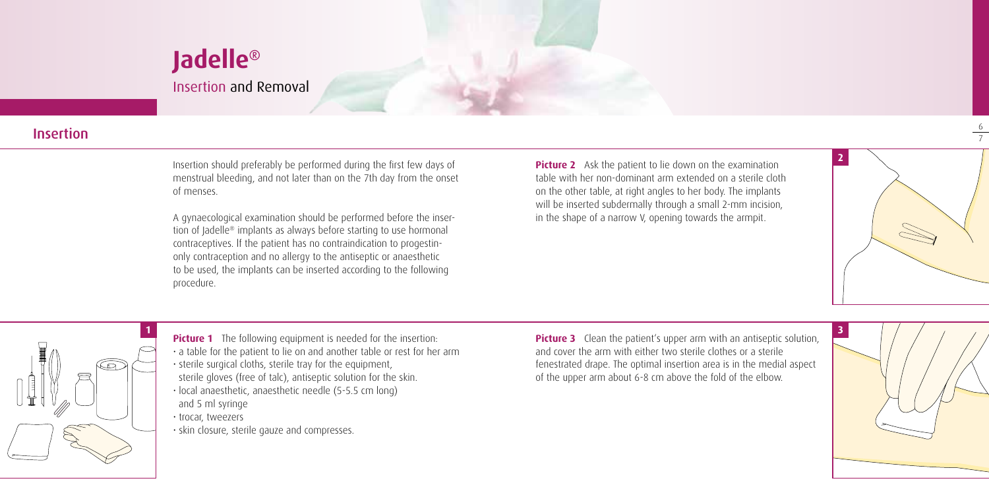### **Jadelle®** Insertion and Removal

#### Insertion

Insertion should preferably be performed during the first few days of menstrual bleeding, and not later than on the 7th day from the onset of menses.

A gynaecological examination should be performed before the insertion of Jadelle® implants as always before starting to use hormonal contraceptives. lf the patient has no contraindication to progestinonly contraception and no allergy to the antiseptic or anaesthetic to be used, the implants can be inserted according to the following procedure.

**Picture 2** Ask the patient to lie down on the examination table with her non-dominant arm extended on a sterile cloth on the other table, at right angles to her body. The implants will be inserted subdermally through a small 2-mm incision, in the shape of a narrow V, opening towards the armpit.



6



**Picture 1** The following equipment is needed for the insertion: • a table for the patient to lie on and another table or rest for her arm • sterile surgical cloths, sterile tray for the equipment, sterile gloves (free of talc), antiseptic solution for the skin. • local anaesthetic, anaesthetic needle (5-5.5 cm long) and 5 ml syringe • trocar, tweezers • skin closure, sterile gauze and compresses.

**Picture 3** Clean the patient's upper arm with an antiseptic solution, and cover the arm with either two sterile clothes or a sterile fenestrated drape. The optimal insertion area is in the medial aspect of the upper arm about 6-8 cm above the fold of the elbow.

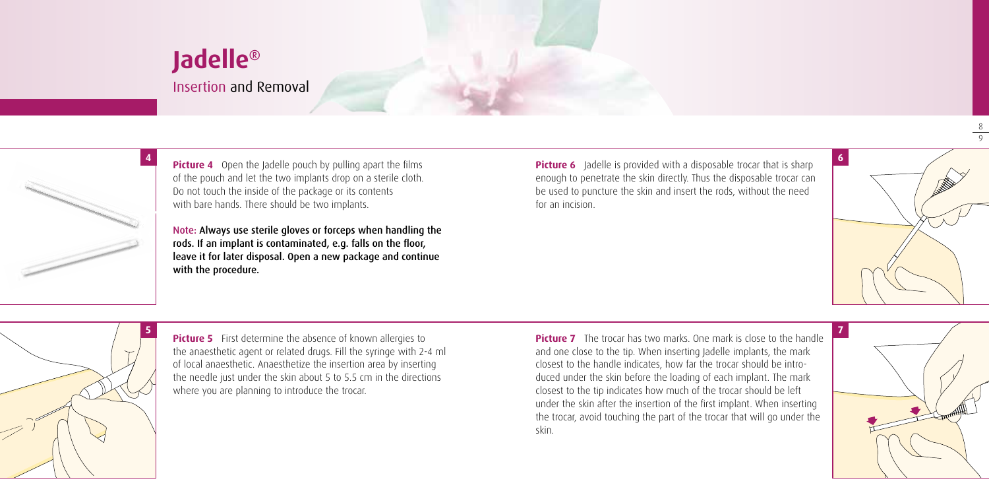Insertion and Removal



**Picture 4** Open the Jadelle pouch by pulling apart the films of the pouch and let the two implants drop on a sterile cloth. Do not touch the inside of the package or its contents with bare hands. There should be two implants.

Note: Always use sterile gloves or forceps when handling the rods. If an implant is contaminated, e.g. falls on the floor, leave it for later disposal. Open a new package and continue with the procedure.

**Picture 6** Jadelle is provided with a disposable trocar that is sharp enough to penetrate the skin directly. Thus the disposable trocar can be used to puncture the skin and insert the rods, without the need for an incision.



8 9



**Picture 5** First determine the absence of known allergies to the anaesthetic agent or related drugs. Fill the syringe with 2-4 ml of local anaesthetic. Anaesthetize the insertion area by inserting the needle just under the skin about 5 to 5.5 cm in the directions where you are planning to introduce the trocar.

**Picture 7** The trocar has two marks. One mark is close to the handle and one close to the tip. When inserting Jadelle implants, the mark closest to the handle indicates, how far the trocar should be introduced under the skin before the loading of each implant. The mark closest to the tip indicates how much of the trocar should be left under the skin after the insertion of the first implant. When inserting the trocar, avoid touching the part of the trocar that will go under the skin.

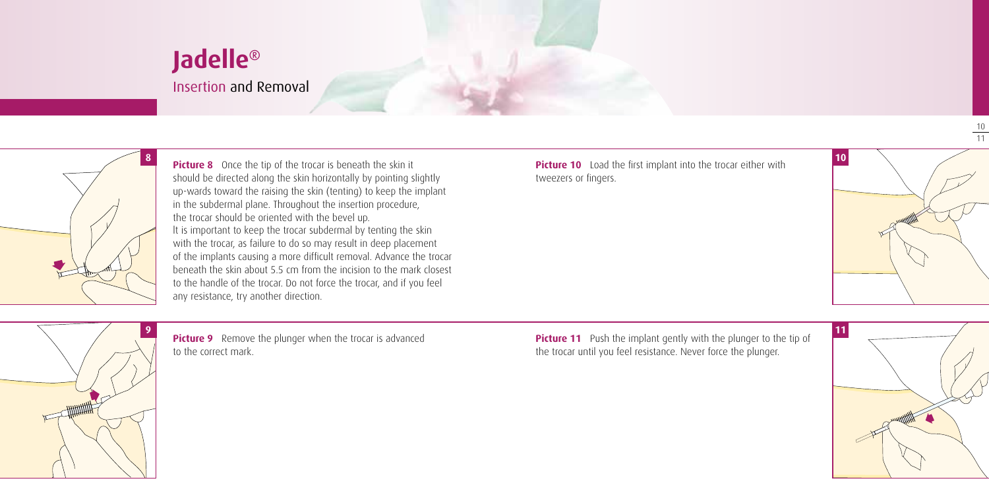Insertion and Removal



**Picture 8** Once the tip of the trocar is beneath the skin it should be directed along the skin horizontally by pointing slightly up-wards toward the raising the skin (tenting) to keep the implant in the subdermal plane. Throughout the insertion procedure, the trocar should be oriented with the bevel up. lt is important to keep the trocar subdermal by tenting the skin with the trocar, as failure to do so may result in deep placement of the implants causing a more difficult removal. Advance the trocar beneath the skin about 5.5 cm from the incision to the mark closest to the handle of the trocar. Do not force the trocar, and if you feel any resistance, try another direction.

**Picture 10** Load the first implant into the trocar either with tweezers or fingers.



10 11



**Picture 9** Remove the plunger when the trocar is advanced to the correct mark.

**Picture 11** Push the implant gently with the plunger to the tip of the trocar until you feel resistance. Never force the plunger.

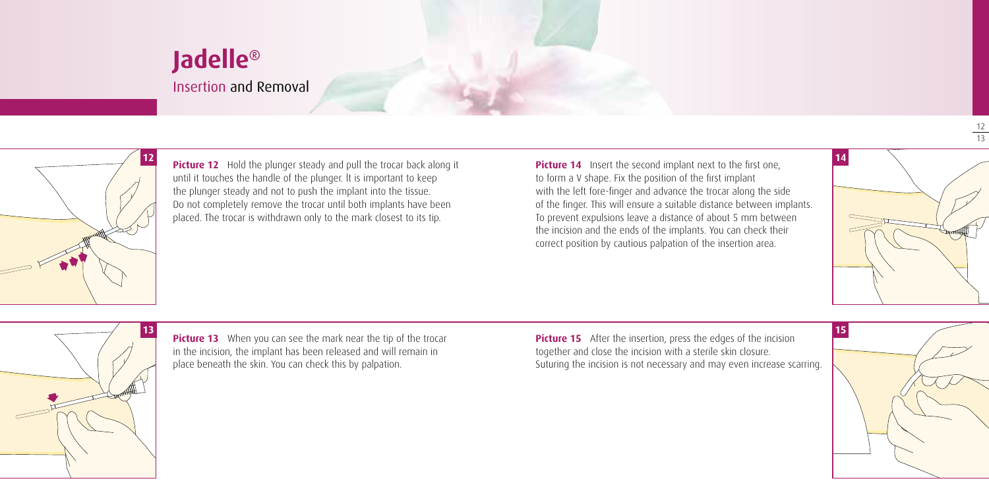### Insertion and Removal



**Picture 12** Hold the plunger steady and pull the trocar back along it until it touches the handle of the plunger. lt is important to keep the plunger steady and not to push the implant into the tissue. Do not completely remove the trocar until both implants have been placed. The trocar is withdrawn only to the mark closest to its tip.

**Picture 14** Insert the second implant next to the first one. to form a V shape. Fix the position of the first implant with the left fore-finger and advance the trocar along the side of the finger. This will ensure a suitable distance between implants. To prevent expulsions leave a distance of about 5 mm between the incision and the ends of the implants. You can check their correct position by cautious palpation of the insertion area.



12 13



**Picture 13** When you can see the mark near the tip of the trocar in the incision, the implant has been released and will remain in place beneath the skin. You can check this by palpation.

**Picture 15** After the insertion, press the edges of the incision together and close the incision with a sterile skin closure. Suturing the incision is not necessary and may even increase scarring.

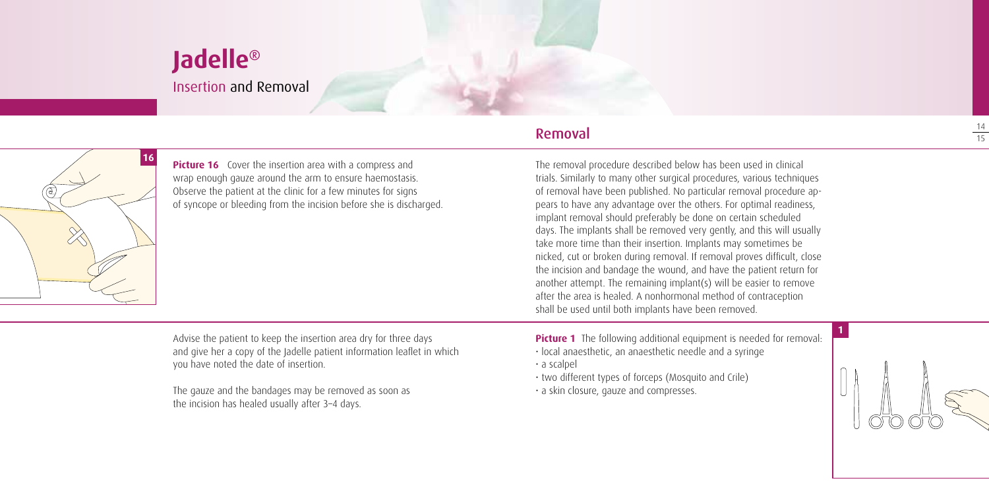Insertion and Removal



**Picture 16** Cover the insertion area with a compress and wrap enough gauze around the arm to ensure haemostasis. Observe the patient at the clinic for a few minutes for signs of syncope or bleeding from the incision before she is discharged.

#### Removal

The removal procedure described below has been used in clinical trials. Similarly to many other surgical procedures, various techniques of removal have been published. No particular removal procedure appears to have any advantage over the others. For optimal readiness, implant removal should preferably be done on certain scheduled days. The implants shall be removed very gently, and this will usually take more time than their insertion. Implants may sometimes be nicked, cut or broken during removal. If removal proves difficult, close the incision and bandage the wound, and have the patient return for another attempt. The remaining implant(s) will be easier to remove after the area is healed. A nonhormonal method of contraception shall be used until both implants have been removed.

Advise the patient to keep the insertion area dry for three days and give her a copy of the Jadelle patient information leaflet in which you have noted the date of insertion.

The gauze and the bandages may be removed as soon as the incision has healed usually after 3–4 days.

**Picture 1** The following additional equipment is needed for removal:

• local anaesthetic, an anaesthetic needle and a syringe

• a scalpel

- two different types of forceps (Mosquito and Crile)
- a skin closure, gauze and compresses.

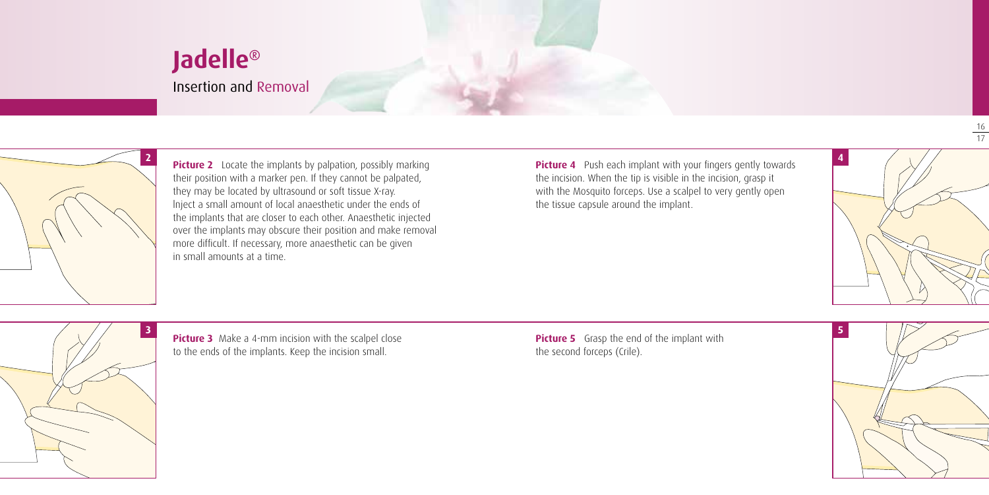Insertion and Removal



**Picture 2** Locate the implants by palpation, possibly marking their position with a marker pen. If they cannot be palpated, they may be located by ultrasound or soft tissue X-ray. lnject a small amount of local anaesthetic under the ends of the implants that are closer to each other. Anaesthetic injected over the implants may obscure their position and make removal more difficult. If necessary, more anaesthetic can be given in small amounts at a time.

**Picture 4** Push each implant with your fingers gently towards the incision. When the tip is visible in the incision, grasp it with the Mosquito forceps. Use a scalpel to very gently open the tissue capsule around the implant.



 $\frac{16}{17}$ 



**Picture 3** Make a 4-mm incision with the scalpel close to the ends of the implants. Keep the incision small.

**Picture 5** Grasp the end of the implant with the second forceps (Crile).